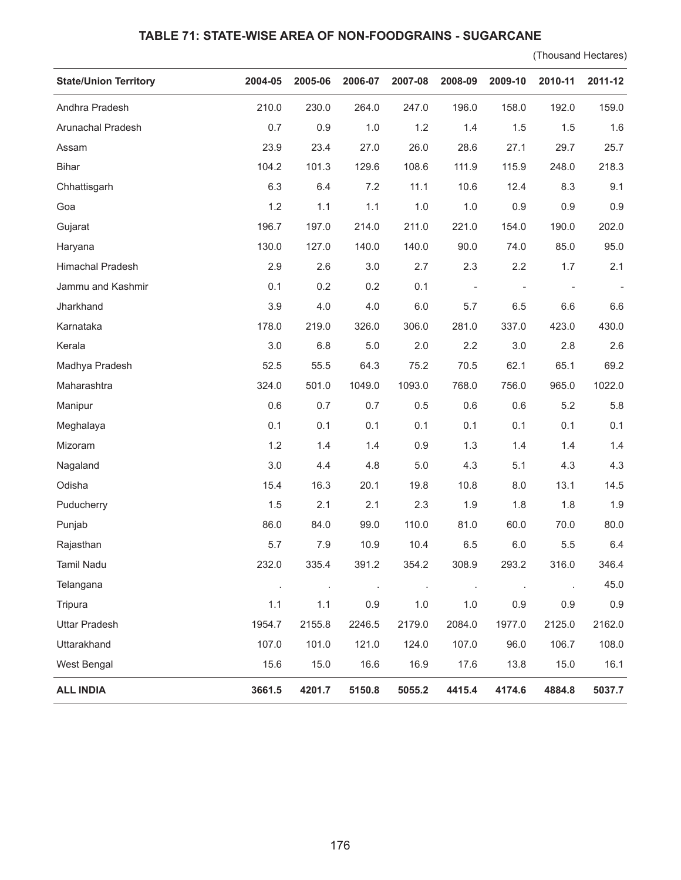## **TABLE 71: STATE-WISE AREA OF NON-FOODGRAINS - SUGARCANE**

(Thousand Hectares)

| <b>State/Union Territory</b> | 2004-05 | 2005-06 | 2006-07 | 2007-08 | 2008-09                  | 2009-10                  | 2010-11                  | 2011-12 |
|------------------------------|---------|---------|---------|---------|--------------------------|--------------------------|--------------------------|---------|
| Andhra Pradesh               | 210.0   | 230.0   | 264.0   | 247.0   | 196.0                    | 158.0                    | 192.0                    | 159.0   |
| Arunachal Pradesh            | 0.7     | 0.9     | 1.0     | 1.2     | 1.4                      | 1.5                      | 1.5                      | 1.6     |
| Assam                        | 23.9    | 23.4    | 27.0    | 26.0    | 28.6                     | 27.1                     | 29.7                     | 25.7    |
| <b>Bihar</b>                 | 104.2   | 101.3   | 129.6   | 108.6   | 111.9                    | 115.9                    | 248.0                    | 218.3   |
| Chhattisgarh                 | 6.3     | 6.4     | 7.2     | 11.1    | 10.6                     | 12.4                     | 8.3                      | 9.1     |
| Goa                          | 1.2     | 1.1     | 1.1     | 1.0     | 1.0                      | 0.9                      | 0.9                      | 0.9     |
| Gujarat                      | 196.7   | 197.0   | 214.0   | 211.0   | 221.0                    | 154.0                    | 190.0                    | 202.0   |
| Haryana                      | 130.0   | 127.0   | 140.0   | 140.0   | 90.0                     | 74.0                     | 85.0                     | 95.0    |
| Himachal Pradesh             | 2.9     | 2.6     | 3.0     | 2.7     | 2.3                      | 2.2                      | 1.7                      | 2.1     |
| Jammu and Kashmir            | 0.1     | 0.2     | 0.2     | 0.1     | $\overline{\phantom{a}}$ | $\overline{\phantom{a}}$ | $\overline{\phantom{0}}$ |         |
| Jharkhand                    | 3.9     | 4.0     | 4.0     | 6.0     | 5.7                      | 6.5                      | 6.6                      | 6.6     |
| Karnataka                    | 178.0   | 219.0   | 326.0   | 306.0   | 281.0                    | 337.0                    | 423.0                    | 430.0   |
| Kerala                       | 3.0     | 6.8     | 5.0     | 2.0     | 2.2                      | 3.0                      | 2.8                      | 2.6     |
| Madhya Pradesh               | 52.5    | 55.5    | 64.3    | 75.2    | 70.5                     | 62.1                     | 65.1                     | 69.2    |
| Maharashtra                  | 324.0   | 501.0   | 1049.0  | 1093.0  | 768.0                    | 756.0                    | 965.0                    | 1022.0  |
| Manipur                      | 0.6     | 0.7     | 0.7     | 0.5     | 0.6                      | 0.6                      | 5.2                      | 5.8     |
| Meghalaya                    | 0.1     | 0.1     | 0.1     | 0.1     | 0.1                      | 0.1                      | 0.1                      | 0.1     |
| Mizoram                      | 1.2     | 1.4     | 1.4     | 0.9     | 1.3                      | 1.4                      | 1.4                      | 1.4     |
| Nagaland                     | 3.0     | 4.4     | 4.8     | $5.0$   | 4.3                      | 5.1                      | 4.3                      | 4.3     |
| Odisha                       | 15.4    | 16.3    | 20.1    | 19.8    | 10.8                     | 8.0                      | 13.1                     | 14.5    |
| Puducherry                   | 1.5     | 2.1     | 2.1     | 2.3     | 1.9                      | 1.8                      | 1.8                      | 1.9     |
| Punjab                       | 86.0    | 84.0    | 99.0    | 110.0   | 81.0                     | 60.0                     | 70.0                     | 80.0    |
| Rajasthan                    | 5.7     | 7.9     | 10.9    | 10.4    | 6.5                      | 6.0                      | 5.5                      | 6.4     |
| Tamil Nadu                   | 232.0   | 335.4   | 391.2   | 354.2   | 308.9                    | 293.2                    | 316.0                    | 346.4   |
| Telangana                    | $\cdot$ | $\cdot$ | $\cdot$ | $\cdot$ | $\cdot$                  | ÷,                       | $\ddot{\phantom{a}}$     | 45.0    |
| Tripura                      | 1.1     | 1.1     | 0.9     | 1.0     | 1.0                      | 0.9                      | 0.9                      | 0.9     |
| <b>Uttar Pradesh</b>         | 1954.7  | 2155.8  | 2246.5  | 2179.0  | 2084.0                   | 1977.0                   | 2125.0                   | 2162.0  |
| Uttarakhand                  | 107.0   | 101.0   | 121.0   | 124.0   | 107.0                    | 96.0                     | 106.7                    | 108.0   |
| West Bengal                  | 15.6    | 15.0    | 16.6    | 16.9    | 17.6                     | 13.8                     | 15.0                     | 16.1    |
| <b>ALL INDIA</b>             | 3661.5  | 4201.7  | 5150.8  | 5055.2  | 4415.4                   | 4174.6                   | 4884.8                   | 5037.7  |